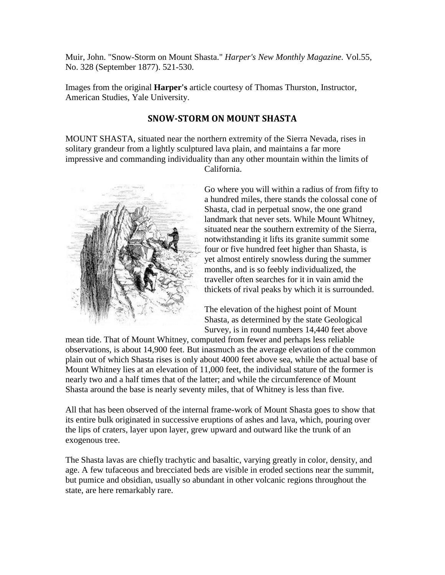Muir, John. "Snow-Storm on Mount Shasta." *Harper's New Monthly Magazine.* Vol.55, No. 328 (September 1877). 521-530.

Images from the original **Harper's** article courtesy of Thomas Thurston, Instructor, American Studies, Yale University.

## **SNOW-STORM ON MOUNT SHASTA**

MOUNT SHASTA, situated near the northern extremity of the Sierra Nevada, rises in solitary grandeur from a lightly sculptured lava plain, and maintains a far more impressive and commanding individuality than any other mountain within the limits of California.



Go where you will within a radius of from fifty to a hundred miles, there stands the colossal cone of Shasta, clad in perpetual snow, the one grand landmark that never sets. While Mount Whitney, situated near the southern extremity of the Sierra, notwithstanding it lifts its granite summit some four or five hundred feet higher than Shasta, is yet almost entirely snowless during the summer months, and is so feebly individualized, the traveller often searches for it in vain amid the thickets of rival peaks by which it is surrounded.

The elevation of the highest point of Mount Shasta, as determined by the state Geological Survey, is in round numbers 14,440 feet above

mean tide. That of Mount Whitney, computed from fewer and perhaps less reliable observations, is about 14,900 feet. But inasmuch as the average elevation of the common plain out of which Shasta rises is only about 4000 feet above sea, while the actual base of Mount Whitney lies at an elevation of 11,000 feet, the individual stature of the former is nearly two and a half times that of the latter; and while the circumference of Mount Shasta around the base is nearly seventy miles, that of Whitney is less than five.

All that has been observed of the internal frame-work of Mount Shasta goes to show that its entire bulk originated in successive eruptions of ashes and lava, which, pouring over the lips of craters, layer upon layer, grew upward and outward like the trunk of an exogenous tree.

The Shasta lavas are chiefly trachytic and basaltic, varying greatly in color, density, and age. A few tufaceous and brecciated beds are visible in eroded sections near the summit, but pumice and obsidian, usually so abundant in other volcanic regions throughout the state, are here remarkably rare.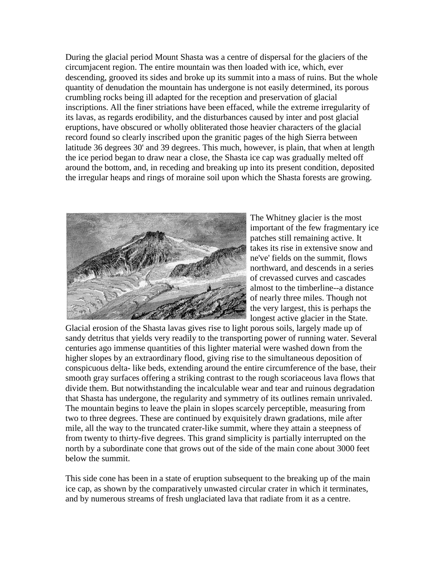During the glacial period Mount Shasta was a centre of dispersal for the glaciers of the circumjacent region. The entire mountain was then loaded with ice, which, ever descending, grooved its sides and broke up its summit into a mass of ruins. But the whole quantity of denudation the mountain has undergone is not easily determined, its porous crumbling rocks being ill adapted for the reception and preservation of glacial inscriptions. All the finer striations have been effaced, while the extreme irregularity of its lavas, as regards erodibility, and the disturbances caused by inter and post glacial eruptions, have obscured or wholly obliterated those heavier characters of the glacial record found so clearly inscribed upon the granitic pages of the high Sierra between latitude 36 degrees 30' and 39 degrees. This much, however, is plain, that when at length the ice period began to draw near a close, the Shasta ice cap was gradually melted off around the bottom, and, in receding and breaking up into its present condition, deposited the irregular heaps and rings of moraine soil upon which the Shasta forests are growing.



The Whitney glacier is the most important of the few fragmentary ice patches still remaining active. It takes its rise in extensive snow and ne've' fields on the summit, flows northward, and descends in a series of crevassed curves and cascades almost to the timberline--a distance of nearly three miles. Though not the very largest, this is perhaps the longest active glacier in the State.

Glacial erosion of the Shasta lavas gives rise to light porous soils, largely made up of sandy detritus that yields very readily to the transporting power of running water. Several centuries ago immense quantities of this lighter material were washed down from the higher slopes by an extraordinary flood, giving rise to the simultaneous deposition of conspicuous delta- like beds, extending around the entire circumference of the base, their smooth gray surfaces offering a striking contrast to the rough scoriaceous lava flows that divide them. But notwithstanding the incalculable wear and tear and ruinous degradation that Shasta has undergone, the regularity and symmetry of its outlines remain unrivaled. The mountain begins to leave the plain in slopes scarcely perceptible, measuring from two to three degrees. These are continued by exquisitely drawn gradations, mile after mile, all the way to the truncated crater-like summit, where they attain a steepness of from twenty to thirty-five degrees. This grand simplicity is partially interrupted on the north by a subordinate cone that grows out of the side of the main cone about 3000 feet below the summit.

This side cone has been in a state of eruption subsequent to the breaking up of the main ice cap, as shown by the comparatively unwasted circular crater in which it terminates, and by numerous streams of fresh unglaciated lava that radiate from it as a centre.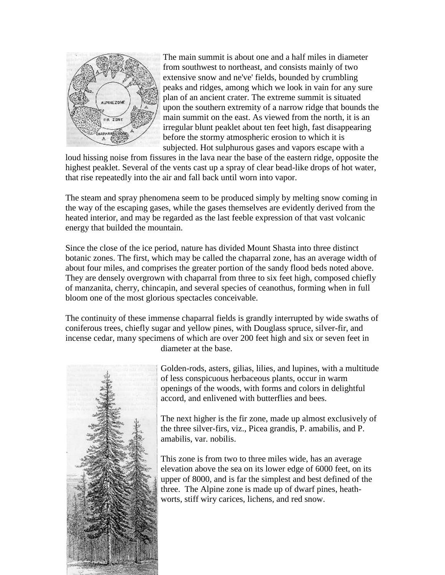

The main summit is about one and a half miles in diameter from southwest to northeast, and consists mainly of two extensive snow and ne've' fields, bounded by crumbling peaks and ridges, among which we look in vain for any sure plan of an ancient crater. The extreme summit is situated upon the southern extremity of a narrow ridge that bounds the main summit on the east. As viewed from the north, it is an irregular blunt peaklet about ten feet high, fast disappearing before the stormy atmospheric erosion to which it is subjected. Hot sulphurous gases and vapors escape with a

loud hissing noise from fissures in the lava near the base of the eastern ridge, opposite the highest peaklet. Several of the vents cast up a spray of clear bead-like drops of hot water, that rise repeatedly into the air and fall back until worn into vapor.

The steam and spray phenomena seem to be produced simply by melting snow coming in the way of the escaping gases, while the gases themselves are evidently derived from the heated interior, and may be regarded as the last feeble expression of that vast volcanic energy that builded the mountain.

Since the close of the ice period, nature has divided Mount Shasta into three distinct botanic zones. The first, which may be called the chaparral zone, has an average width of about four miles, and comprises the greater portion of the sandy flood beds noted above. They are densely overgrown with chaparral from three to six feet high, composed chiefly of manzanita, cherry, chincapin, and several species of ceanothus, forming when in full bloom one of the most glorious spectacles conceivable.

The continuity of these immense chaparral fields is grandly interrupted by wide swaths of coniferous trees, chiefly sugar and yellow pines, with Douglass spruce, silver-fir, and incense cedar, many specimens of which are over 200 feet high and six or seven feet in



diameter at the base.

Golden-rods, asters, gilias, lilies, and lupines, with a multitude of less conspicuous herbaceous plants, occur in warm openings of the woods, with forms and colors in delightful accord, and enlivened with butterflies and bees.

The next higher is the fir zone, made up almost exclusively of the three silver-firs, viz., Picea grandis, P. amabilis, and P. amabilis, var. nobilis.

This zone is from two to three miles wide, has an average elevation above the sea on its lower edge of 6000 feet, on its upper of 8000, and is far the simplest and best defined of the three. The Alpine zone is made up of dwarf pines, heathworts, stiff wiry carices, lichens, and red snow.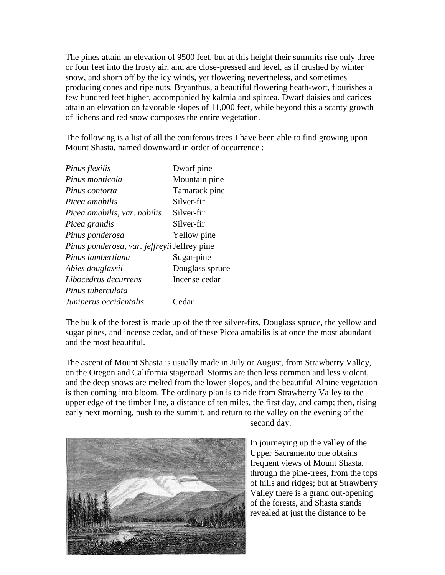The pines attain an elevation of 9500 feet, but at this height their summits rise only three or four feet into the frosty air, and are close-pressed and level, as if crushed by winter snow, and shorn off by the icy winds, yet flowering nevertheless, and sometimes producing cones and ripe nuts. Bryanthus, a beautiful flowering heath-wort, flourishes a few hundred feet higher, accompanied by kalmia and spiraea. Dwarf daisies and carices attain an elevation on favorable slopes of 11,000 feet, while beyond this a scanty growth of lichens and red snow composes the entire vegetation.

The following is a list of all the coniferous trees I have been able to find growing upon Mount Shasta, named downward in order of occurrence :

| Pinus flexilis                               | Dwarf pine      |
|----------------------------------------------|-----------------|
| Pinus monticola                              | Mountain pine   |
| Pinus contorta                               | Tamarack pine   |
| Picea amabilis                               | Silver-fir      |
| Picea amabilis, var. nobilis                 | Silver-fir      |
| Picea grandis                                | Silver-fir      |
| Pinus ponderosa                              | Yellow pine     |
| Pinus ponderosa, var. jeffreyii Jeffrey pine |                 |
| Pinus lambertiana                            | Sugar-pine      |
| Abies douglassii                             | Douglass spruce |
| Libocedrus decurrens                         | Incense cedar   |
| Pinus tuberculata                            |                 |
| Juniperus occidentalis                       | Cedar           |

The bulk of the forest is made up of the three silver-firs, Douglass spruce, the yellow and sugar pines, and incense cedar, and of these Picea amabilis is at once the most abundant and the most beautiful.

The ascent of Mount Shasta is usually made in July or August, from Strawberry Valley, on the Oregon and California stageroad. Storms are then less common and less violent, and the deep snows are melted from the lower slopes, and the beautiful Alpine vegetation is then coming into bloom. The ordinary plan is to ride from Strawberry Valley to the upper edge of the timber line, a distance of ten miles, the first day, and camp; then, rising early next morning, push to the summit, and return to the valley on the evening of the second day.



In journeying up the valley of the Upper Sacramento one obtains frequent views of Mount Shasta, through the pine-trees, from the tops of hills and ridges; but at Strawberry Valley there is a grand out-opening of the forests, and Shasta stands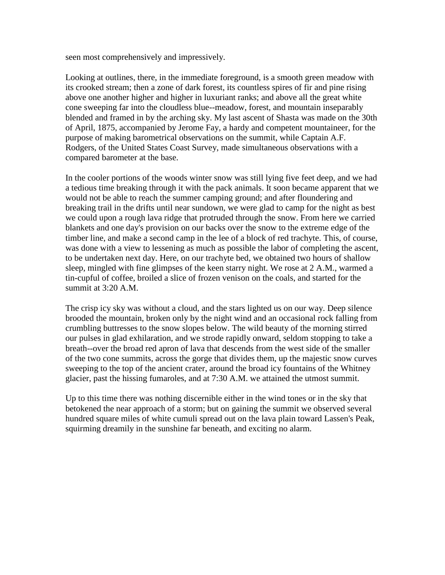seen most comprehensively and impressively.

Looking at outlines, there, in the immediate foreground, is a smooth green meadow with its crooked stream; then a zone of dark forest, its countless spires of fir and pine rising above one another higher and higher in luxuriant ranks; and above all the great white cone sweeping far into the cloudless blue--meadow, forest, and mountain inseparably blended and framed in by the arching sky. My last ascent of Shasta was made on the 30th of April, 1875, accompanied by Jerome Fay, a hardy and competent mountaineer, for the purpose of making barometrical observations on the summit, while Captain A.F. Rodgers, of the United States Coast Survey, made simultaneous observations with a compared barometer at the base.

In the cooler portions of the woods winter snow was still lying five feet deep, and we had a tedious time breaking through it with the pack animals. It soon became apparent that we would not be able to reach the summer camping ground; and after floundering and breaking trail in the drifts until near sundown, we were glad to camp for the night as best we could upon a rough lava ridge that protruded through the snow. From here we carried blankets and one day's provision on our backs over the snow to the extreme edge of the timber line, and make a second camp in the lee of a block of red trachyte. This, of course, was done with a view to lessening as much as possible the labor of completing the ascent, to be undertaken next day. Here, on our trachyte bed, we obtained two hours of shallow sleep, mingled with fine glimpses of the keen starry night. We rose at 2 A.M., warmed a tin-cupful of coffee, broiled a slice of frozen venison on the coals, and started for the summit at 3:20 A.M.

The crisp icy sky was without a cloud, and the stars lighted us on our way. Deep silence brooded the mountain, broken only by the night wind and an occasional rock falling from crumbling buttresses to the snow slopes below. The wild beauty of the morning stirred our pulses in glad exhilaration, and we strode rapidly onward, seldom stopping to take a breath--over the broad red apron of lava that descends from the west side of the smaller of the two cone summits, across the gorge that divides them, up the majestic snow curves sweeping to the top of the ancient crater, around the broad icy fountains of the Whitney glacier, past the hissing fumaroles, and at 7:30 A.M. we attained the utmost summit.

Up to this time there was nothing discernible either in the wind tones or in the sky that betokened the near approach of a storm; but on gaining the summit we observed several hundred square miles of white cumuli spread out on the lava plain toward Lassen's Peak, squirming dreamily in the sunshine far beneath, and exciting no alarm.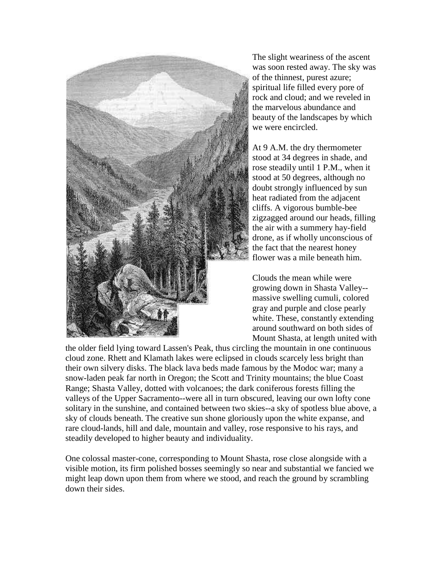

The slight weariness of the ascent was soon rested away. The sky was of the thinnest, purest azure; spiritual life filled every pore of rock and cloud; and we reveled in the marvelous abundance and beauty of the landscapes by which we were encircled.

At 9 A.M. the dry thermometer stood at 34 degrees in shade, and rose steadily until 1 P.M., when it stood at 50 degrees, although no doubt strongly influenced by sun heat radiated from the adjacent cliffs. A vigorous bumble-bee zigzagged around our heads, filling the air with a summery hay-field drone, as if wholly unconscious of the fact that the nearest honey flower was a mile beneath him.

Clouds the mean while were growing down in Shasta Valley- massive swelling cumuli, colored gray and purple and close pearly white. These, constantly extending around southward on both sides of Mount Shasta, at length united with

the older field lying toward Lassen's Peak, thus circling the mountain in one continuous cloud zone. Rhett and Klamath lakes were eclipsed in clouds scarcely less bright than their own silvery disks. The black lava beds made famous by the Modoc war; many a snow-laden peak far north in Oregon; the Scott and Trinity mountains; the blue Coast Range; Shasta Valley, dotted with volcanoes; the dark coniferous forests filling the valleys of the Upper Sacramento--were all in turn obscured, leaving our own lofty cone solitary in the sunshine, and contained between two skies--a sky of spotless blue above, a sky of clouds beneath. The creative sun shone gloriously upon the white expanse, and rare cloud-lands, hill and dale, mountain and valley, rose responsive to his rays, and steadily developed to higher beauty and individuality.

One colossal master-cone, corresponding to Mount Shasta, rose close alongside with a visible motion, its firm polished bosses seemingly so near and substantial we fancied we might leap down upon them from where we stood, and reach the ground by scrambling down their sides.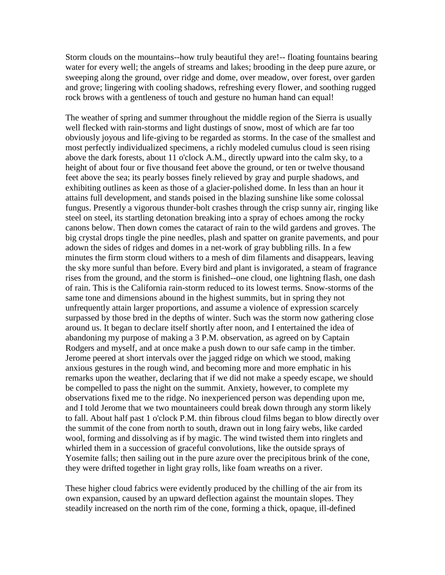Storm clouds on the mountains--how truly beautiful they are!-- floating fountains bearing water for every well; the angels of streams and lakes; brooding in the deep pure azure, or sweeping along the ground, over ridge and dome, over meadow, over forest, over garden and grove; lingering with cooling shadows, refreshing every flower, and soothing rugged rock brows with a gentleness of touch and gesture no human hand can equal!

The weather of spring and summer throughout the middle region of the Sierra is usually well flecked with rain-storms and light dustings of snow, most of which are far too obviously joyous and life-giving to be regarded as storms. In the case of the smallest and most perfectly individualized specimens, a richly modeled cumulus cloud is seen rising above the dark forests, about 11 o'clock A.M., directly upward into the calm sky, to a height of about four or five thousand feet above the ground, or ten or twelve thousand feet above the sea; its pearly bosses finely relieved by gray and purple shadows, and exhibiting outlines as keen as those of a glacier-polished dome. In less than an hour it attains full development, and stands poised in the blazing sunshine like some colossal fungus. Presently a vigorous thunder-bolt crashes through the crisp sunny air, ringing like steel on steel, its startling detonation breaking into a spray of echoes among the rocky canons below. Then down comes the cataract of rain to the wild gardens and groves. The big crystal drops tingle the pine needles, plash and spatter on granite pavements, and pour adown the sides of ridges and domes in a net-work of gray bubbling rills. In a few minutes the firm storm cloud withers to a mesh of dim filaments and disappears, leaving the sky more sunful than before. Every bird and plant is invigorated, a steam of fragrance rises from the ground, and the storm is finished--one cloud, one lightning flash, one dash of rain. This is the California rain-storm reduced to its lowest terms. Snow-storms of the same tone and dimensions abound in the highest summits, but in spring they not unfrequently attain larger proportions, and assume a violence of expression scarcely surpassed by those bred in the depths of winter. Such was the storm now gathering close around us. It began to declare itself shortly after noon, and I entertained the idea of abandoning my purpose of making a 3 P.M. observation, as agreed on by Captain Rodgers and myself, and at once make a push down to our safe camp in the timber. Jerome peered at short intervals over the jagged ridge on which we stood, making anxious gestures in the rough wind, and becoming more and more emphatic in his remarks upon the weather, declaring that if we did not make a speedy escape, we should be compelled to pass the night on the summit. Anxiety, however, to complete my observations fixed me to the ridge. No inexperienced person was depending upon me, and I told Jerome that we two mountaineers could break down through any storm likely to fall. About half past 1 o'clock P.M. thin fibrous cloud films began to blow directly over the summit of the cone from north to south, drawn out in long fairy webs, like carded wool, forming and dissolving as if by magic. The wind twisted them into ringlets and whirled them in a succession of graceful convolutions, like the outside sprays of Yosemite falls; then sailing out in the pure azure over the precipitous brink of the cone, they were drifted together in light gray rolls, like foam wreaths on a river.

These higher cloud fabrics were evidently produced by the chilling of the air from its own expansion, caused by an upward deflection against the mountain slopes. They steadily increased on the north rim of the cone, forming a thick, opaque, ill-defined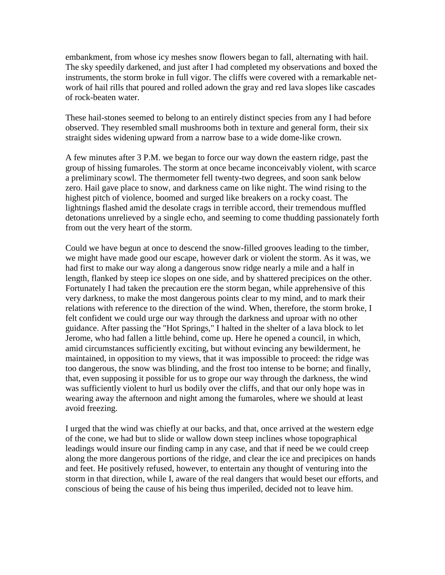embankment, from whose icy meshes snow flowers began to fall, alternating with hail. The sky speedily darkened, and just after I had completed my observations and boxed the instruments, the storm broke in full vigor. The cliffs were covered with a remarkable network of hail rills that poured and rolled adown the gray and red lava slopes like cascades of rock-beaten water.

These hail-stones seemed to belong to an entirely distinct species from any I had before observed. They resembled small mushrooms both in texture and general form, their six straight sides widening upward from a narrow base to a wide dome-like crown.

A few minutes after 3 P.M. we began to force our way down the eastern ridge, past the group of hissing fumaroles. The storm at once became inconceivably violent, with scarce a preliminary scowl. The thermometer fell twenty-two degrees, and soon sank below zero. Hail gave place to snow, and darkness came on like night. The wind rising to the highest pitch of violence, boomed and surged like breakers on a rocky coast. The lightnings flashed amid the desolate crags in terrible accord, their tremendous muffled detonations unrelieved by a single echo, and seeming to come thudding passionately forth from out the very heart of the storm.

Could we have begun at once to descend the snow-filled grooves leading to the timber, we might have made good our escape, however dark or violent the storm. As it was, we had first to make our way along a dangerous snow ridge nearly a mile and a half in length, flanked by steep ice slopes on one side, and by shattered precipices on the other. Fortunately I had taken the precaution ere the storm began, while apprehensive of this very darkness, to make the most dangerous points clear to my mind, and to mark their relations with reference to the direction of the wind. When, therefore, the storm broke, I felt confident we could urge our way through the darkness and uproar with no other guidance. After passing the "Hot Springs," I halted in the shelter of a lava block to let Jerome, who had fallen a little behind, come up. Here he opened a council, in which, amid circumstances sufficiently exciting, but without evincing any bewilderment, he maintained, in opposition to my views, that it was impossible to proceed: the ridge was too dangerous, the snow was blinding, and the frost too intense to be borne; and finally, that, even supposing it possible for us to grope our way through the darkness, the wind was sufficiently violent to hurl us bodily over the cliffs, and that our only hope was in wearing away the afternoon and night among the fumaroles, where we should at least avoid freezing.

I urged that the wind was chiefly at our backs, and that, once arrived at the western edge of the cone, we had but to slide or wallow down steep inclines whose topographical leadings would insure our finding camp in any case, and that if need be we could creep along the more dangerous portions of the ridge, and clear the ice and precipices on hands and feet. He positively refused, however, to entertain any thought of venturing into the storm in that direction, while I, aware of the real dangers that would beset our efforts, and conscious of being the cause of his being thus imperiled, decided not to leave him.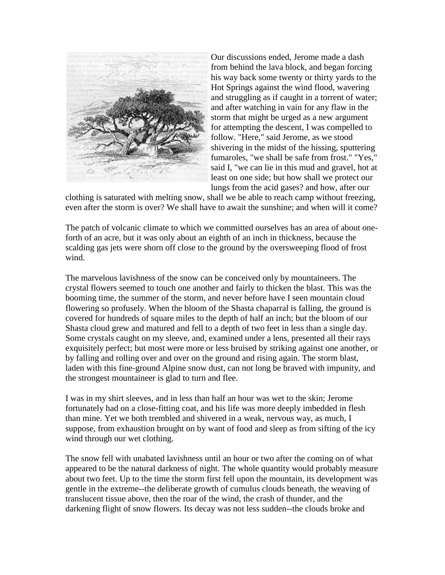

Our discussions ended, Jerome made a dash from behind the lava block, and began forcing his way back some twenty or thirty yards to the Hot Springs against the wind flood, wavering and struggling as if caught in a torrent of water; and after watching in vain for any flaw in the storm that might be urged as a new argument for attempting the descent, I was compelled to follow. "Here," said Jerome, as we stood shivering in the midst of the hissing, sputtering fumaroles, "we shall be safe from frost." "Yes," said I, "we can lie in this mud and gravel, hot at least on one side; but how shall we protect our lungs from the acid gases? and how, after our

clothing is saturated with melting snow, shall we be able to reach camp without freezing, even after the storm is over? We shall have to await the sunshine; and when will it come?

The patch of volcanic climate to which we committed ourselves has an area of about oneforth of an acre, but it was only about an eighth of an inch in thickness, because the scalding gas jets were shorn off close to the ground by the oversweeping flood of frost wind.

The marvelous lavishness of the snow can be conceived only by mountaineers. The crystal flowers seemed to touch one another and fairly to thicken the blast. This was the booming time, the summer of the storm, and never before have I seen mountain cloud flowering so profusely. When the bloom of the Shasta chaparral is falling, the ground is covered for hundreds of square miles to the depth of half an inch; but the bloom of our Shasta cloud grew and matured and fell to a depth of two feet in less than a single day. Some crystals caught on my sleeve, and, examined under a lens, presented all their rays exquisitely perfect; but most were more or less bruised by striking against one another, or by falling and rolling over and over on the ground and rising again. The storm blast, laden with this fine-ground Alpine snow dust, can not long be braved with impunity, and the strongest mountaineer is glad to turn and flee.

I was in my shirt sleeves, and in less than half an hour was wet to the skin; Jerome fortunately had on a close-fitting coat, and his life was more deeply imbedded in flesh than mine. Yet we both trembled and shivered in a weak, nervous way, as much, I suppose, from exhaustion brought on by want of food and sleep as from sifting of the icy wind through our wet clothing.

The snow fell with unabated lavishness until an hour or two after the coming on of what appeared to be the natural darkness of night. The whole quantity would probably measure about two feet. Up to the time the storm first fell upon the mountain, its development was gentle in the extreme--the deliberate growth of cumulus clouds beneath, the weaving of translucent tissue above, then the roar of the wind, the crash of thunder, and the darkening flight of snow flowers. Its decay was not less sudden--the clouds broke and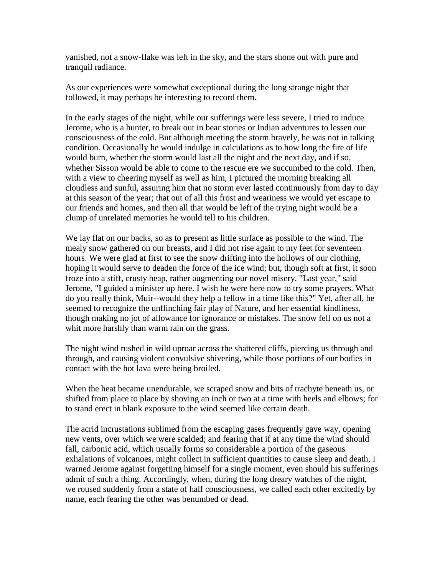vanished, not a snow-flake was left in the sky, and the stars shone out with pure and tranquil radiance.

As our experiences were somewhat exceptional during the long strange night that followed, it may perhaps be interesting to record them.

In the early stages of the night, while our sufferings were less severe, I tried to induce Jerome, who is a hunter, to break out in bear stories or Indian adventures to lessen our consciousness of the cold. But although meeting the storm bravely, he was not in talking condition. Occasionally he would indulge in calculations as to how long the fire of life would burn, whether the storm would last all the night and the next day, and if so, whether Sisson would be able to come to the rescue ere we succumbed to the cold. Then, with a view to cheering myself as well as him, I pictured the morning breaking all cloudless and sunful, assuring him that no storm ever lasted continuously from day to day at this season of the year; that out of all this frost and weariness we would yet escape to our friends and homes, and then all that would be left of the trying night would be a clump of unrelated memories he would tell to his children.

We lay flat on our backs, so as to present as little surface as possible to the wind. The mealy snow gathered on our breasts, and I did not rise again to my feet for seventeen hours. We were glad at first to see the snow drifting into the hollows of our clothing, hoping it would serve to deaden the force of the ice wind; but, though soft at first, it soon froze into a stiff, crusty heap, rather augmenting our novel misery. "Last year," said Jerome, "I guided a minister up here. I wish he were here now to try some prayers. What do you really think, Muir--would they help a fellow in a time like this?" Yet, after all, he seemed to recognize the unflinching fair play of Nature, and her essential kindliness, though making no jot of allowance for ignorance or mistakes. The snow fell on us not a whit more harshly than warm rain on the grass.

The night wind rushed in wild uproar across the shattered cliffs, piercing us through and through, and causing violent convulsive shivering, while those portions of our bodies in contact with the hot lava were being broiled.

When the heat became unendurable, we scraped snow and bits of trachyte beneath us, or shifted from place to place by shoving an inch or two at a time with heels and elbows; for to stand erect in blank exposure to the wind seemed like certain death.

The acrid incrustations sublimed from the escaping gases frequently gave way, opening new vents, over which we were scalded; and fearing that if at any time the wind should fall, carbonic acid, which usually forms so considerable a portion of the gaseous exhalations of volcanoes, might collect in sufficient quantities to cause sleep and death, I warned Jerome against forgetting himself for a single moment, even should his sufferings admit of such a thing. Accordingly, when, during the long dreary watches of the night, we roused suddenly from a state of half consciousness, we called each other excitedly by name, each fearing the other was benumbed or dead.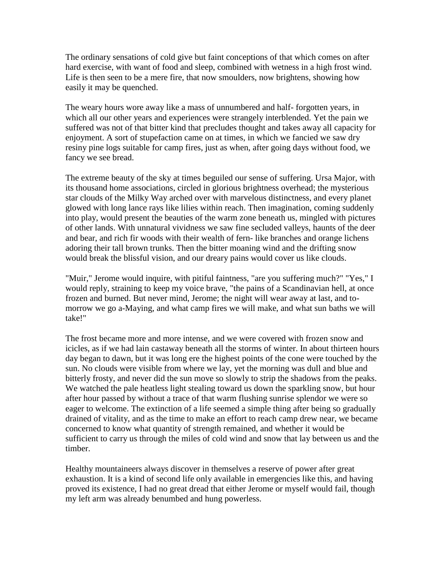The ordinary sensations of cold give but faint conceptions of that which comes on after hard exercise, with want of food and sleep, combined with wetness in a high frost wind. Life is then seen to be a mere fire, that now smoulders, now brightens, showing how easily it may be quenched.

The weary hours wore away like a mass of unnumbered and half- forgotten years, in which all our other years and experiences were strangely interblended. Yet the pain we suffered was not of that bitter kind that precludes thought and takes away all capacity for enjoyment. A sort of stupefaction came on at times, in which we fancied we saw dry resiny pine logs suitable for camp fires, just as when, after going days without food, we fancy we see bread.

The extreme beauty of the sky at times beguiled our sense of suffering. Ursa Major, with its thousand home associations, circled in glorious brightness overhead; the mysterious star clouds of the Milky Way arched over with marvelous distinctness, and every planet glowed with long lance rays like lilies within reach. Then imagination, coming suddenly into play, would present the beauties of the warm zone beneath us, mingled with pictures of other lands. With unnatural vividness we saw fine secluded valleys, haunts of the deer and bear, and rich fir woods with their wealth of fern- like branches and orange lichens adoring their tall brown trunks. Then the bitter moaning wind and the drifting snow would break the blissful vision, and our dreary pains would cover us like clouds.

"Muir," Jerome would inquire, with pitiful faintness, "are you suffering much?" "Yes," I would reply, straining to keep my voice brave, "the pains of a Scandinavian hell, at once frozen and burned. But never mind, Jerome; the night will wear away at last, and tomorrow we go a-Maying, and what camp fires we will make, and what sun baths we will take!"

The frost became more and more intense, and we were covered with frozen snow and icicles, as if we had lain castaway beneath all the storms of winter. In about thirteen hours day began to dawn, but it was long ere the highest points of the cone were touched by the sun. No clouds were visible from where we lay, yet the morning was dull and blue and bitterly frosty, and never did the sun move so slowly to strip the shadows from the peaks. We watched the pale heatless light stealing toward us down the sparkling snow, but hour after hour passed by without a trace of that warm flushing sunrise splendor we were so eager to welcome. The extinction of a life seemed a simple thing after being so gradually drained of vitality, and as the time to make an effort to reach camp drew near, we became concerned to know what quantity of strength remained, and whether it would be sufficient to carry us through the miles of cold wind and snow that lay between us and the timber.

Healthy mountaineers always discover in themselves a reserve of power after great exhaustion. It is a kind of second life only available in emergencies like this, and having proved its existence, I had no great dread that either Jerome or myself would fail, though my left arm was already benumbed and hung powerless.